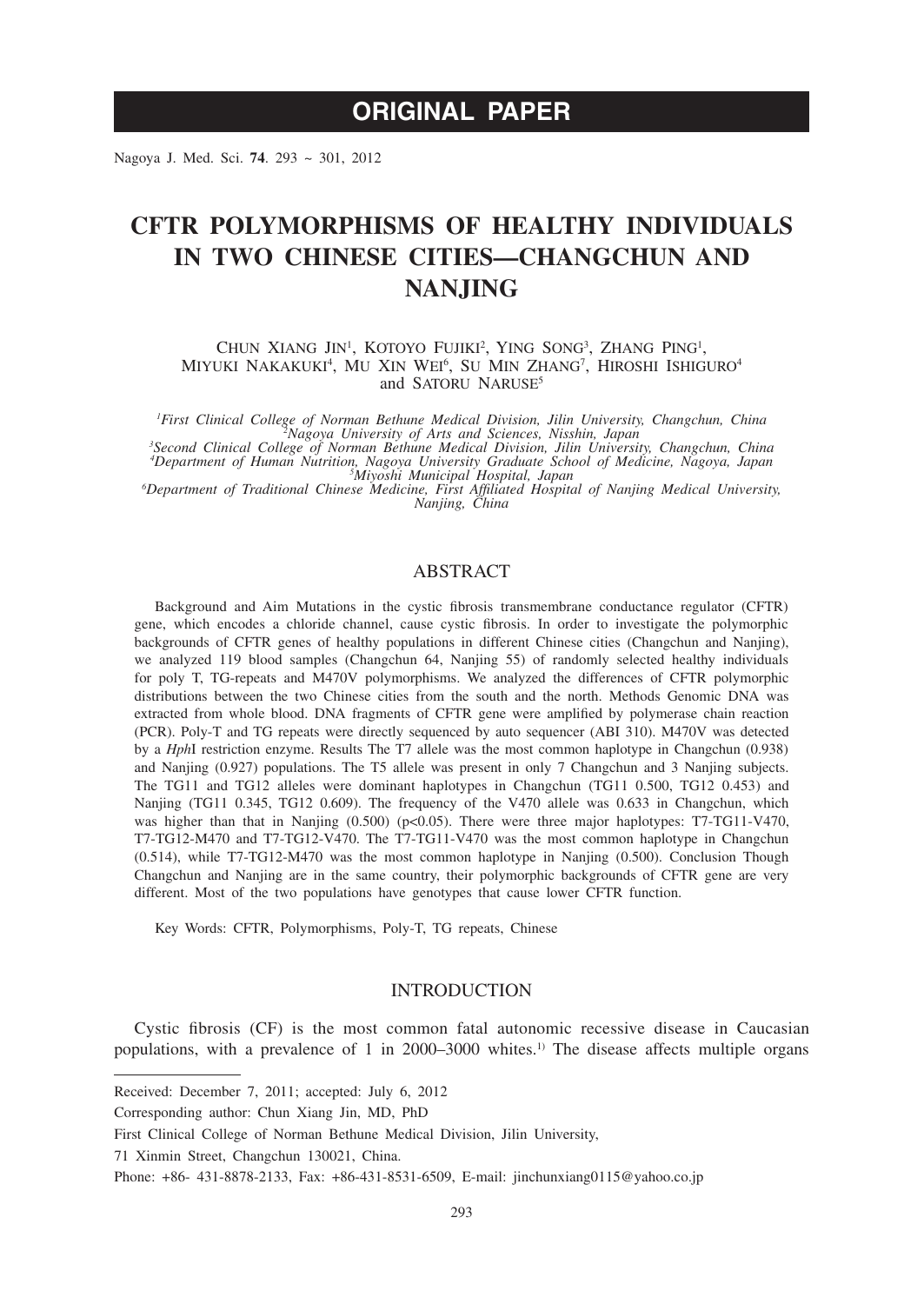# **ORIGINAL PAPER**

Nagoya J. Med. Sci. **74**. 293 ~ 301, 2012

# **CFTR POLYMORPHISMS OF HEALTHY INDIVIDUALS IN TWO CHINESE CITIES—CHANGCHUN AND NANJING**

CHUN XIANG JIN<sup>1</sup>, KOTOYO FUJIKI<sup>2</sup>, YING SONG<sup>3</sup>, ZHANG PING<sup>1</sup>, MIYUKI NAKAKUKI<sup>4</sup>, MU XIN WEI<sup>6</sup>, SU MIN ZHANG<sup>7</sup>, HIROSHI ISHIGURO<sup>4</sup> and SATORU NARUSE<sup>5</sup>

*1 First Clinical College of Norman Bethune Medical Division, Jilin University, Changchun, China <sup>2</sup> Nagoya University of Arts and Sciences, Nisshin, Japan <sup>3</sup> Second Clinical College of Norman Bethune Medical Division, Jilin University, Changchun, China*

*4 Department of Human Nutrition, Nagoya University Graduate School of Medicine, Nagoya, Japan <sup>5</sup> Miyoshi Municipal Hospital, Japan <sup>6</sup>*

*Department of Traditional Chinese Medicine, First Affiliated Hospital of Nanjing Medical University, Nanjing, China*

# ABSTRACT

Background and Aim Mutations in the cystic fibrosis transmembrane conductance regulator (CFTR) gene, which encodes a chloride channel, cause cystic fibrosis. In order to investigate the polymorphic backgrounds of CFTR genes of healthy populations in different Chinese cities (Changchun and Nanjing), we analyzed 119 blood samples (Changchun 64, Nanjing 55) of randomly selected healthy individuals for poly T, TG-repeats and M470V polymorphisms. We analyzed the differences of CFTR polymorphic distributions between the two Chinese cities from the south and the north. Methods Genomic DNA was extracted from whole blood. DNA fragments of CFTR gene were amplified by polymerase chain reaction (PCR). Poly-T and TG repeats were directly sequenced by auto sequencer (ABI 310). M470V was detected by a *Hph*I restriction enzyme. Results The T7 allele was the most common haplotype in Changchun (0.938) and Nanjing (0.927) populations. The T5 allele was present in only 7 Changchun and 3 Nanjing subjects. The TG11 and TG12 alleles were dominant haplotypes in Changchun (TG11 0.500, TG12 0.453) and Nanjing (TG11 0.345, TG12 0.609). The frequency of the V470 allele was 0.633 in Changchun, which was higher than that in Nanjing  $(0.500)$  ( $p<0.05$ ). There were three major haplotypes: T7-TG11-V470, T7-TG12-M470 and T7-TG12-V470. The T7-TG11-V470 was the most common haplotype in Changchun (0.514), while T7-TG12-M470 was the most common haplotype in Nanjing (0.500). Conclusion Though Changchun and Nanjing are in the same country, their polymorphic backgrounds of CFTR gene are very different. Most of the two populations have genotypes that cause lower CFTR function.

Key Words: CFTR, Polymorphisms, Poly-T, TG repeats, Chinese

## INTRODUCTION

Cystic fibrosis (CF) is the most common fatal autonomic recessive disease in Caucasian populations, with a prevalence of 1 in 2000–3000 whites.1) The disease affects multiple organs

Received: December 7, 2011; accepted: July 6, 2012

Corresponding author: Chun Xiang Jin, MD, PhD

First Clinical College of Norman Bethune Medical Division, Jilin University,

<sup>71</sup> Xinmin Street, Changchun 130021, China.

Phone: +86- 431-8878-2133, Fax: +86-431-8531-6509, E-mail: jinchunxiang0115@yahoo.co.jp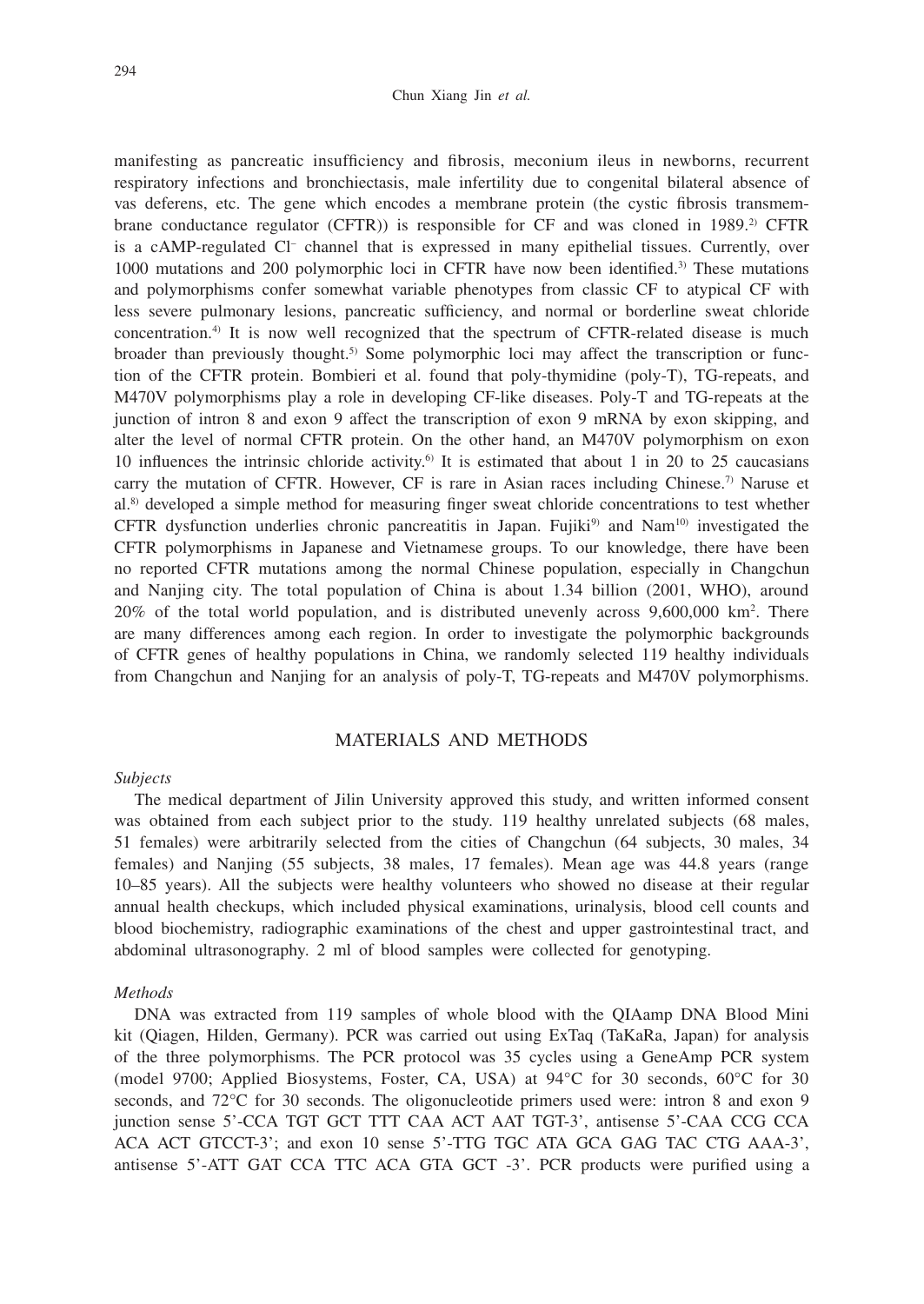#### Chun Xiang Jin *et al.*

manifesting as pancreatic insufficiency and fibrosis, meconium ileus in newborns, recurrent respiratory infections and bronchiectasis, male infertility due to congenital bilateral absence of vas deferens, etc. The gene which encodes a membrane protein (the cystic fibrosis transmembrane conductance regulator (CFTR)) is responsible for CF and was cloned in 1989.2) CFTR is a cAMP-regulated Cl<sup>-</sup> channel that is expressed in many epithelial tissues. Currently, over 1000 mutations and 200 polymorphic loci in CFTR have now been identified.3) These mutations and polymorphisms confer somewhat variable phenotypes from classic CF to atypical CF with less severe pulmonary lesions, pancreatic sufficiency, and normal or borderline sweat chloride concentration.4) It is now well recognized that the spectrum of CFTR-related disease is much broader than previously thought.5) Some polymorphic loci may affect the transcription or function of the CFTR protein. Bombieri et al. found that poly-thymidine (poly-T), TG-repeats, and M470V polymorphisms play a role in developing CF-like diseases. Poly-T and TG-repeats at the junction of intron 8 and exon 9 affect the transcription of exon 9 mRNA by exon skipping, and alter the level of normal CFTR protein. On the other hand, an M470V polymorphism on exon 10 influences the intrinsic chloride activity.<sup>6</sup> It is estimated that about 1 in 20 to 25 caucasians carry the mutation of CFTR. However, CF is rare in Asian races including Chinese.<sup>7)</sup> Naruse et al.8) developed a simple method for measuring finger sweat chloride concentrations to test whether CFTR dysfunction underlies chronic pancreatitis in Japan. Fujiki<sup>9)</sup> and Nam<sup>10)</sup> investigated the CFTR polymorphisms in Japanese and Vietnamese groups. To our knowledge, there have been no reported CFTR mutations among the normal Chinese population, especially in Changchun and Nanjing city. The total population of China is about 1.34 billion (2001, WHO), around 20% of the total world population, and is distributed unevenly across 9,600,000 km2 . There are many differences among each region. In order to investigate the polymorphic backgrounds of CFTR genes of healthy populations in China, we randomly selected 119 healthy individuals from Changchun and Nanjing for an analysis of poly-T, TG-repeats and M470V polymorphisms.

# MATERIALS AND METHODS

#### *Subjects*

The medical department of Jilin University approved this study, and written informed consent was obtained from each subject prior to the study. 119 healthy unrelated subjects (68 males, 51 females) were arbitrarily selected from the cities of Changchun (64 subjects, 30 males, 34 females) and Nanjing (55 subjects, 38 males, 17 females). Mean age was 44.8 years (range 10–85 years). All the subjects were healthy volunteers who showed no disease at their regular annual health checkups, which included physical examinations, urinalysis, blood cell counts and blood biochemistry, radiographic examinations of the chest and upper gastrointestinal tract, and abdominal ultrasonography. 2 ml of blood samples were collected for genotyping.

### *Methods*

DNA was extracted from 119 samples of whole blood with the QIAamp DNA Blood Mini kit (Qiagen, Hilden, Germany). PCR was carried out using ExTaq (TaKaRa, Japan) for analysis of the three polymorphisms. The PCR protocol was 35 cycles using a GeneAmp PCR system (model 9700; Applied Biosystems, Foster, CA, USA) at 94°C for 30 seconds, 60°C for 30 seconds, and 72°C for 30 seconds. The oligonucleotide primers used were: intron 8 and exon 9 junction sense 5'-CCA TGT GCT TTT CAA ACT AAT TGT-3', antisense 5'-CAA CCG CCA ACA ACT GTCCT-3'; and exon 10 sense 5'-TTG TGC ATA GCA GAG TAC CTG AAA-3', antisense 5'-ATT GAT CCA TTC ACA GTA GCT -3'. PCR products were purified using a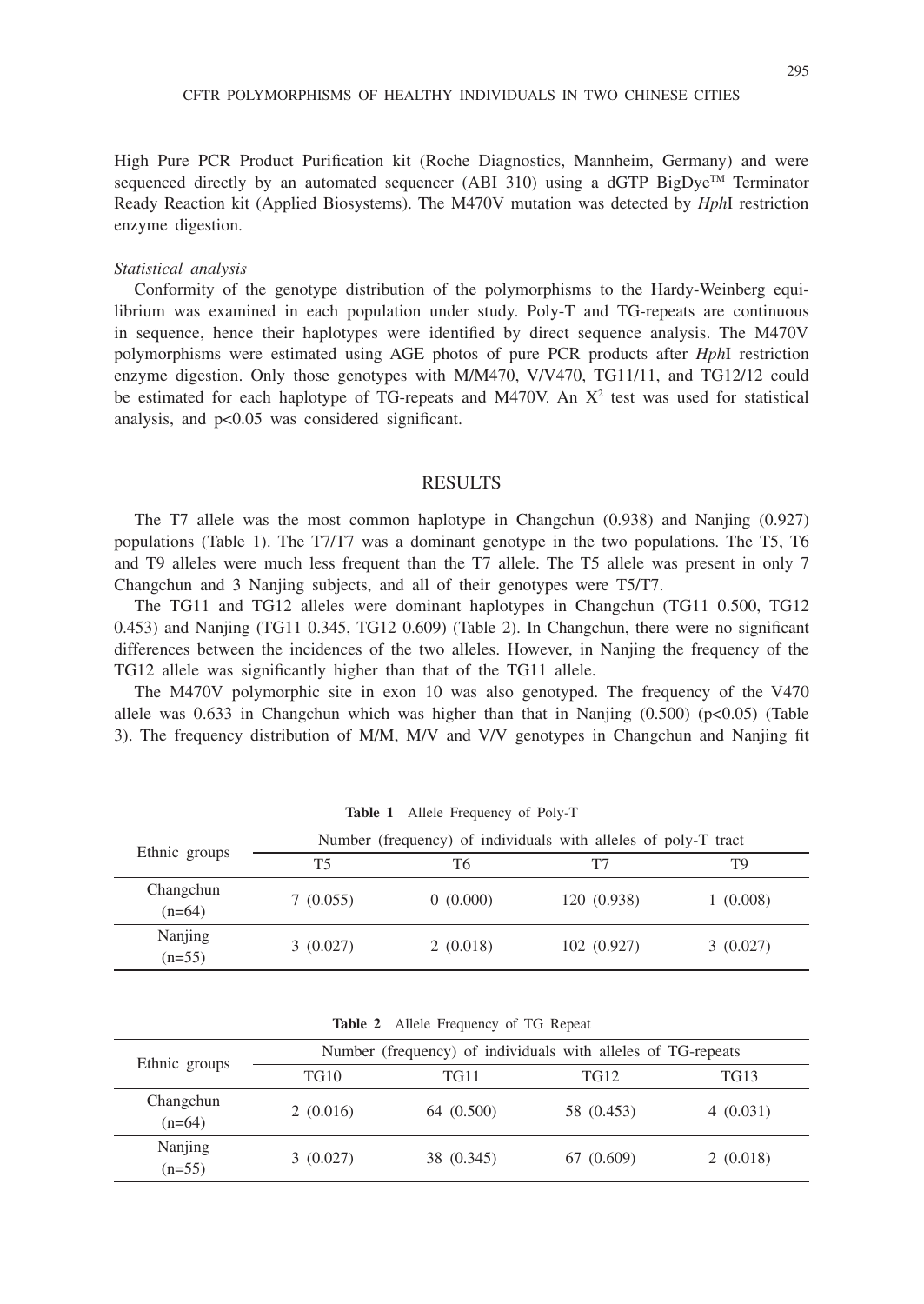High Pure PCR Product Purification kit (Roche Diagnostics, Mannheim, Germany) and were sequenced directly by an automated sequencer (ABI 310) using a dGTP BigDye<sup>TM</sup> Terminator Ready Reaction kit (Applied Biosystems). The M470V mutation was detected by *Hph*I restriction enzyme digestion.

#### *Statistical analysis*

Conformity of the genotype distribution of the polymorphisms to the Hardy-Weinberg equilibrium was examined in each population under study. Poly-T and TG-repeats are continuous in sequence, hence their haplotypes were identified by direct sequence analysis. The M470V polymorphisms were estimated using AGE photos of pure PCR products after *Hph*I restriction enzyme digestion. Only those genotypes with M/M470, V/V470, TG11/11, and TG12/12 could be estimated for each haplotype of TG-repeats and M470V. An  $X^2$  test was used for statistical analysis, and p<0.05 was considered significant.

## RESULTS

The T7 allele was the most common haplotype in Changchun (0.938) and Nanjing (0.927) populations (Table 1). The T7/T7 was a dominant genotype in the two populations. The T5, T6 and T9 alleles were much less frequent than the T7 allele. The T5 allele was present in only 7 Changchun and 3 Nanjing subjects, and all of their genotypes were T5/T7.

The TG11 and TG12 alleles were dominant haplotypes in Changchun (TG11 0.500, TG12 0.453) and Nanjing (TG11 0.345, TG12 0.609) (Table 2). In Changchun, there were no significant differences between the incidences of the two alleles. However, in Nanjing the frequency of the TG12 allele was significantly higher than that of the TG11 allele.

The M470V polymorphic site in exon 10 was also genotyped. The frequency of the V470 allele was  $0.633$  in Changchun which was higher than that in Nanjing  $(0.500)$  ( $p<0.05$ ) (Table 3). The frequency distribution of M/M, M/V and V/V genotypes in Changchun and Nanjing fit

| Ethnic groups         | Number (frequency) of individuals with alleles of poly-T tract |          |             |          |  |
|-----------------------|----------------------------------------------------------------|----------|-------------|----------|--|
|                       | Т5                                                             | Т6       | Т7          | T9       |  |
| Changchun<br>$(n=64)$ | 7(0.055)                                                       | 0(0.000) | 120 (0.938) | 1(0.008) |  |
| Nanjing<br>$(n=55)$   | 3(0.027)                                                       | 2(0.018) | 102(0.927)  | 3(0.027) |  |

**Table 1** Allele Frequency of Poly-T

**Table 2** Allele Frequency of TG Repeat

| Ethnic groups         | Number (frequency) of individuals with alleles of TG-repeats |            |            |          |  |
|-----------------------|--------------------------------------------------------------|------------|------------|----------|--|
|                       | <b>TG10</b>                                                  | TG11       | TG12       | TG13     |  |
| Changchun<br>$(n=64)$ | 2(0.016)                                                     | 64 (0.500) | 58 (0.453) | 4(0.031) |  |
| Nanjing<br>$(n=55)$   | 3(0.027)                                                     | 38 (0.345) | 67 (0.609) | 2(0.018) |  |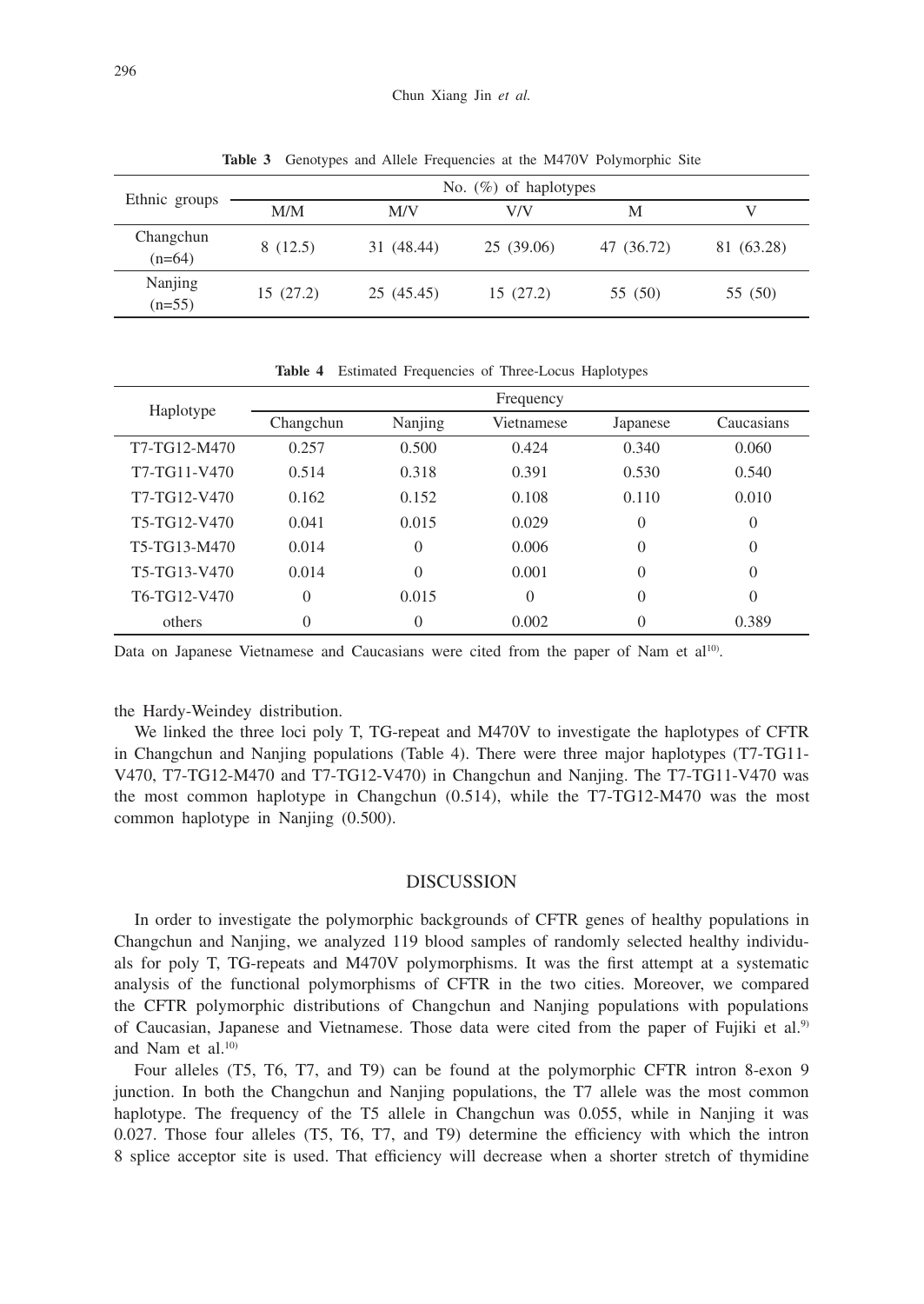| Ethnic groups         | No. $(\%)$ of haplotypes |            |            |            |            |  |
|-----------------------|--------------------------|------------|------------|------------|------------|--|
|                       | M/M                      | M/V        | V/V        | М          |            |  |
| Changchun<br>$(n=64)$ | 8(12.5)                  | 31 (48.44) | 25 (39.06) | 47 (36.72) | 81 (63.28) |  |
| Nanjing<br>$(n=55)$   | 15(27.2)                 | 25 (45.45) | 15(27.2)   | 55 (50)    | 55 (50)    |  |

**Table 3** Genotypes and Allele Frequencies at the M470V Polymorphic Site

| Haplotype    | Frequency      |                |            |          |            |  |
|--------------|----------------|----------------|------------|----------|------------|--|
|              | Changchun      | Nanjing        | Vietnamese | Japanese | Caucasians |  |
| T7-TG12-M470 | 0.257          | 0.500          | 0.424      | 0.340    | 0.060      |  |
| T7-TG11-V470 | 0.514          | 0.318          | 0.391      | 0.530    | 0.540      |  |
| T7-TG12-V470 | 0.162          | 0.152          | 0.108      | 0.110    | 0.010      |  |
| T5-TG12-V470 | 0.041          | 0.015          | 0.029      | $\Omega$ | $\theta$   |  |
| T5-TG13-M470 | 0.014          | $\overline{0}$ | 0.006      | $\Omega$ | $\theta$   |  |
| T5-TG13-V470 | 0.014          | $\Omega$       | 0.001      | $\Omega$ | $\Omega$   |  |
| T6-TG12-V470 | $\overline{0}$ | 0.015          | $\Omega$   | $\Omega$ | $\theta$   |  |
| others       | $\overline{0}$ | $\theta$       | 0.002      | $\theta$ | 0.389      |  |

**Table 4** Estimated Frequencies of Three-Locus Haplotypes

Data on Japanese Vietnamese and Caucasians were cited from the paper of Nam et al<sup>10</sup>.

the Hardy-Weindey distribution.

We linked the three loci poly T, TG-repeat and M470V to investigate the haplotypes of CFTR in Changchun and Nanjing populations (Table 4). There were three major haplotypes (T7-TG11- V470, T7-TG12-M470 and T7-TG12-V470) in Changchun and Nanjing. The T7-TG11-V470 was the most common haplotype in Changchun (0.514), while the T7-TG12-M470 was the most common haplotype in Nanjing (0.500).

### DISCUSSION

In order to investigate the polymorphic backgrounds of CFTR genes of healthy populations in Changchun and Nanjing, we analyzed 119 blood samples of randomly selected healthy individuals for poly T, TG-repeats and M470V polymorphisms. It was the first attempt at a systematic analysis of the functional polymorphisms of CFTR in the two cities. Moreover, we compared the CFTR polymorphic distributions of Changchun and Nanjing populations with populations of Caucasian, Japanese and Vietnamese. Those data were cited from the paper of Fujiki et al.<sup>9)</sup> and Nam et al.10)

Four alleles (T5, T6, T7, and T9) can be found at the polymorphic CFTR intron 8-exon 9 junction. In both the Changchun and Nanjing populations, the T7 allele was the most common haplotype. The frequency of the T5 allele in Changchun was 0.055, while in Nanjing it was 0.027. Those four alleles (T5, T6, T7, and T9) determine the efficiency with which the intron 8 splice acceptor site is used. That efficiency will decrease when a shorter stretch of thymidine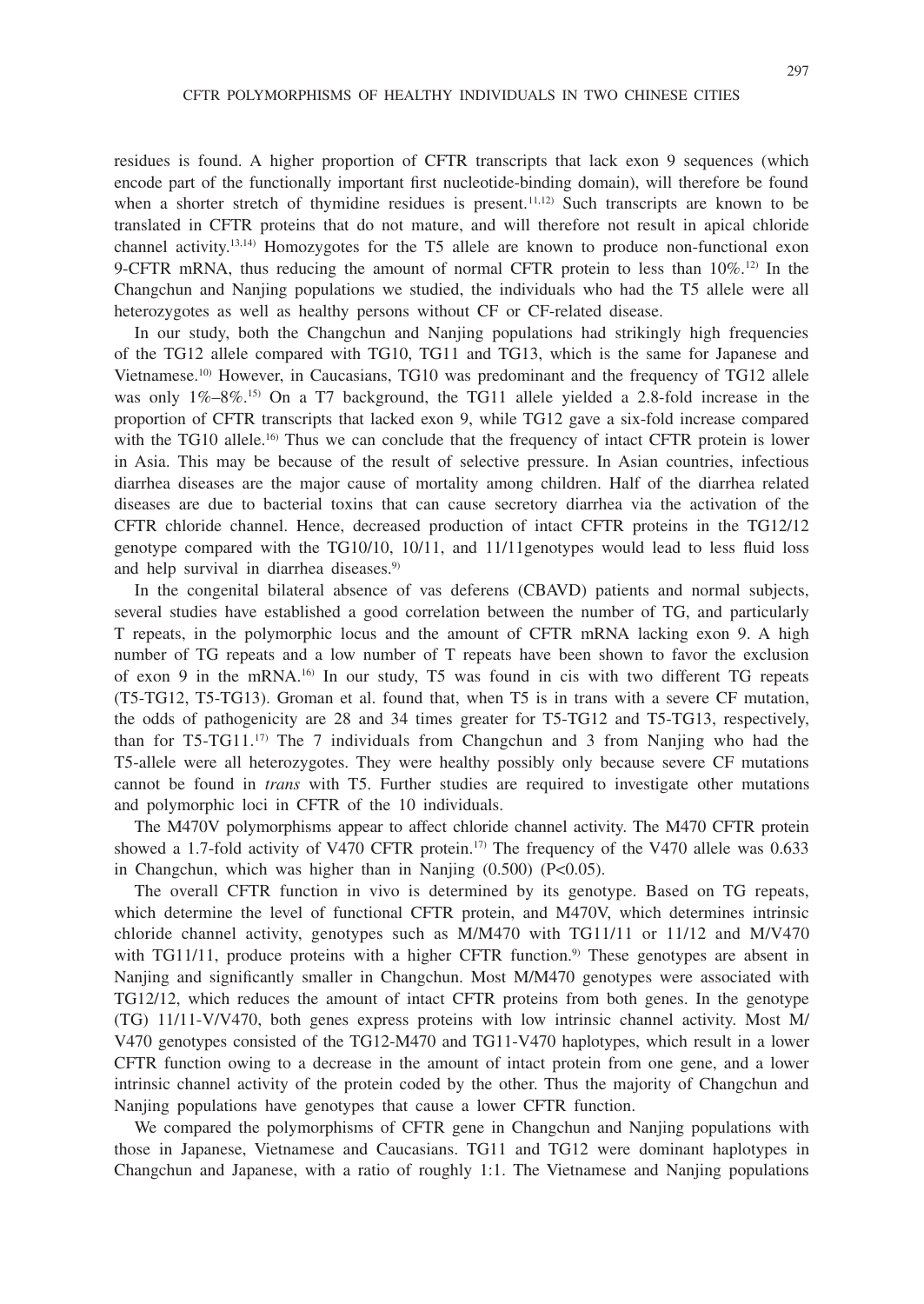residues is found. A higher proportion of CFTR transcripts that lack exon 9 sequences (which encode part of the functionally important first nucleotide-binding domain), will therefore be found when a shorter stretch of thymidine residues is present.<sup>11,12)</sup> Such transcripts are known to be translated in CFTR proteins that do not mature, and will therefore not result in apical chloride channel activity.<sup>13,14)</sup> Homozygotes for the T5 allele are known to produce non-functional exon 9-CFTR mRNA, thus reducing the amount of normal CFTR protein to less than  $10\%$ .<sup>12)</sup> In the Changchun and Nanjing populations we studied, the individuals who had the T5 allele were all heterozygotes as well as healthy persons without CF or CF-related disease.

In our study, both the Changchun and Nanjing populations had strikingly high frequencies of the TG12 allele compared with TG10, TG11 and TG13, which is the same for Japanese and Vietnamese.10) However, in Caucasians, TG10 was predominant and the frequency of TG12 allele was only  $1\% - 8\%$ .<sup>15)</sup> On a T7 background, the TG11 allele yielded a 2.8-fold increase in the proportion of CFTR transcripts that lacked exon 9, while TG12 gave a six-fold increase compared with the TG10 allele.<sup>16</sup> Thus we can conclude that the frequency of intact CFTR protein is lower in Asia. This may be because of the result of selective pressure. In Asian countries, infectious diarrhea diseases are the major cause of mortality among children. Half of the diarrhea related diseases are due to bacterial toxins that can cause secretory diarrhea via the activation of the CFTR chloride channel. Hence, decreased production of intact CFTR proteins in the TG12/12 genotype compared with the TG10/10, 10/11, and 11/11genotypes would lead to less fluid loss and help survival in diarrhea diseases.<sup>9)</sup>

In the congenital bilateral absence of vas deferens (CBAVD) patients and normal subjects, several studies have established a good correlation between the number of TG, and particularly T repeats, in the polymorphic locus and the amount of CFTR mRNA lacking exon 9. A high number of TG repeats and a low number of T repeats have been shown to favor the exclusion of exon 9 in the mRNA.16) In our study, T5 was found in cis with two different TG repeats (T5-TG12, T5-TG13). Groman et al. found that, when T5 is in trans with a severe CF mutation, the odds of pathogenicity are 28 and 34 times greater for T5-TG12 and T5-TG13, respectively, than for T5-TG11.17) The 7 individuals from Changchun and 3 from Nanjing who had the T5-allele were all heterozygotes. They were healthy possibly only because severe CF mutations cannot be found in *trans* with T5. Further studies are required to investigate other mutations and polymorphic loci in CFTR of the 10 individuals.

The M470V polymorphisms appear to affect chloride channel activity. The M470 CFTR protein showed a 1.7-fold activity of V470 CFTR protein.<sup>17)</sup> The frequency of the V470 allele was 0.633 in Changchun, which was higher than in Nanjing  $(0.500)$   $(P<0.05)$ .

The overall CFTR function in vivo is determined by its genotype. Based on TG repeats, which determine the level of functional CFTR protein, and M470V, which determines intrinsic chloride channel activity, genotypes such as M/M470 with TG11/11 or 11/12 and M/V470 with TG11/11, produce proteins with a higher CFTR function.<sup>9)</sup> These genotypes are absent in Nanjing and significantly smaller in Changchun. Most M/M470 genotypes were associated with TG12/12, which reduces the amount of intact CFTR proteins from both genes. In the genotype (TG) 11/11-V/V470, both genes express proteins with low intrinsic channel activity. Most M/ V470 genotypes consisted of the TG12-M470 and TG11-V470 haplotypes, which result in a lower CFTR function owing to a decrease in the amount of intact protein from one gene, and a lower intrinsic channel activity of the protein coded by the other. Thus the majority of Changchun and Nanjing populations have genotypes that cause a lower CFTR function.

We compared the polymorphisms of CFTR gene in Changchun and Nanjing populations with those in Japanese, Vietnamese and Caucasians. TG11 and TG12 were dominant haplotypes in Changchun and Japanese, with a ratio of roughly 1:1. The Vietnamese and Nanjing populations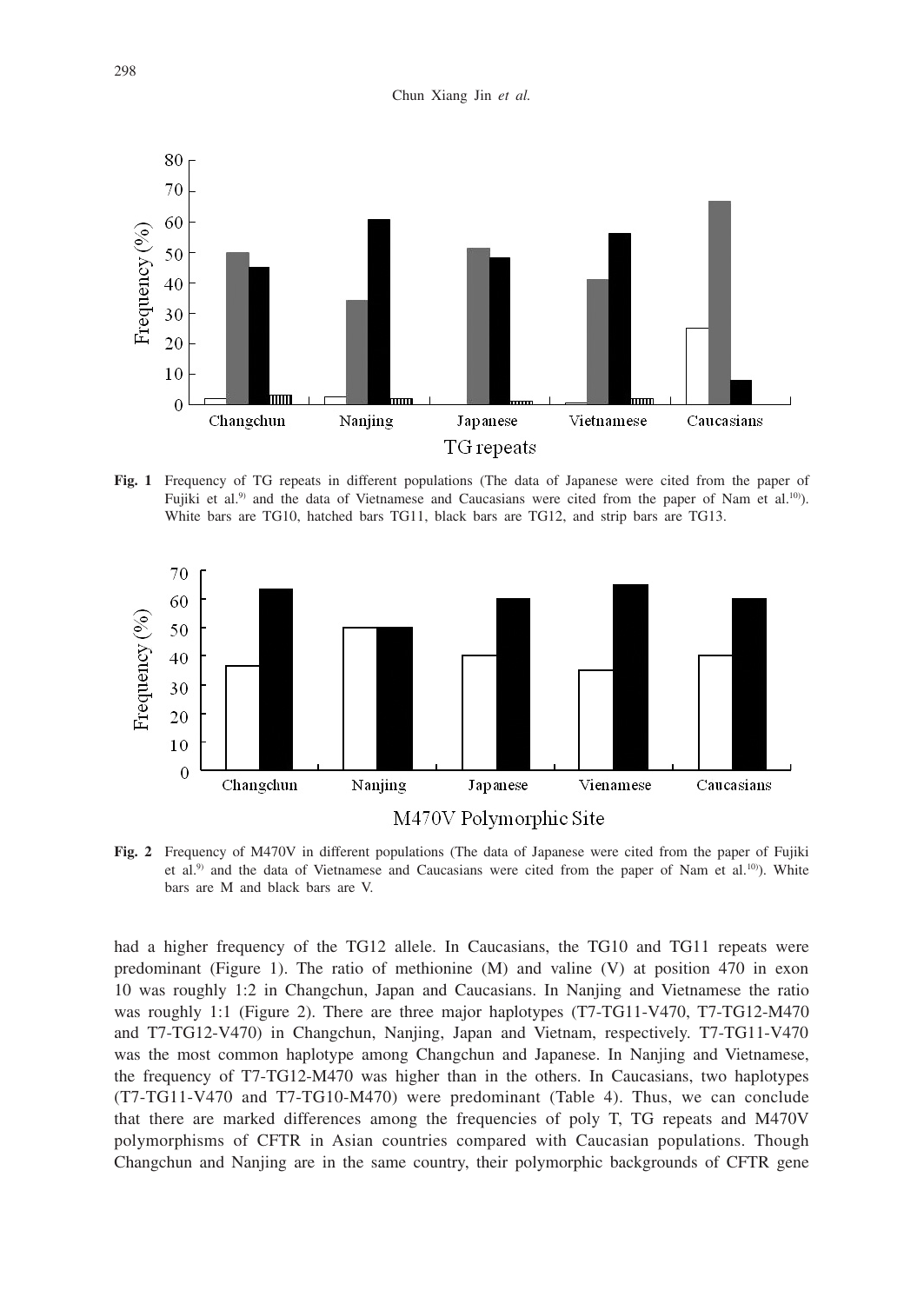

**Fig. 1** Frequency of TG repeats in different populations (The data of Japanese were cited from the paper of Fujiki et al.<sup>9)</sup> and the data of Vietnamese and Caucasians were cited from the paper of Nam et al.<sup>10</sup>). White bars are TG10, hatched bars TG11, black bars are TG12, and strip bars are TG13.



**Fig. 2** Frequency of M470V in different populations (The data of Japanese were cited from the paper of Fujiki et al.<sup>9)</sup> and the data of Vietnamese and Caucasians were cited from the paper of Nam et al.<sup>10</sup>). White bars are M and black bars are V.

had a higher frequency of the TG12 allele. In Caucasians, the TG10 and TG11 repeats were predominant (Figure 1). The ratio of methionine (M) and valine (V) at position 470 in exon 10 was roughly 1:2 in Changchun, Japan and Caucasians. In Nanjing and Vietnamese the ratio was roughly 1:1 (Figure 2). There are three major haplotypes (T7-TG11-V470, T7-TG12-M470) and T7-TG12-V470) in Changchun, Nanjing, Japan and Vietnam, respectively. T7-TG11-V470 was the most common haplotype among Changchun and Japanese. In Nanjing and Vietnamese, the frequency of T7-TG12-M470 was higher than in the others. In Caucasians, two haplotypes (T7-TG11-V470 and T7-TG10-M470) were predominant (Table 4). Thus, we can conclude that there are marked differences among the frequencies of poly T, TG repeats and M470V polymorphisms of CFTR in Asian countries compared with Caucasian populations. Though Changchun and Nanjing are in the same country, their polymorphic backgrounds of CFTR gene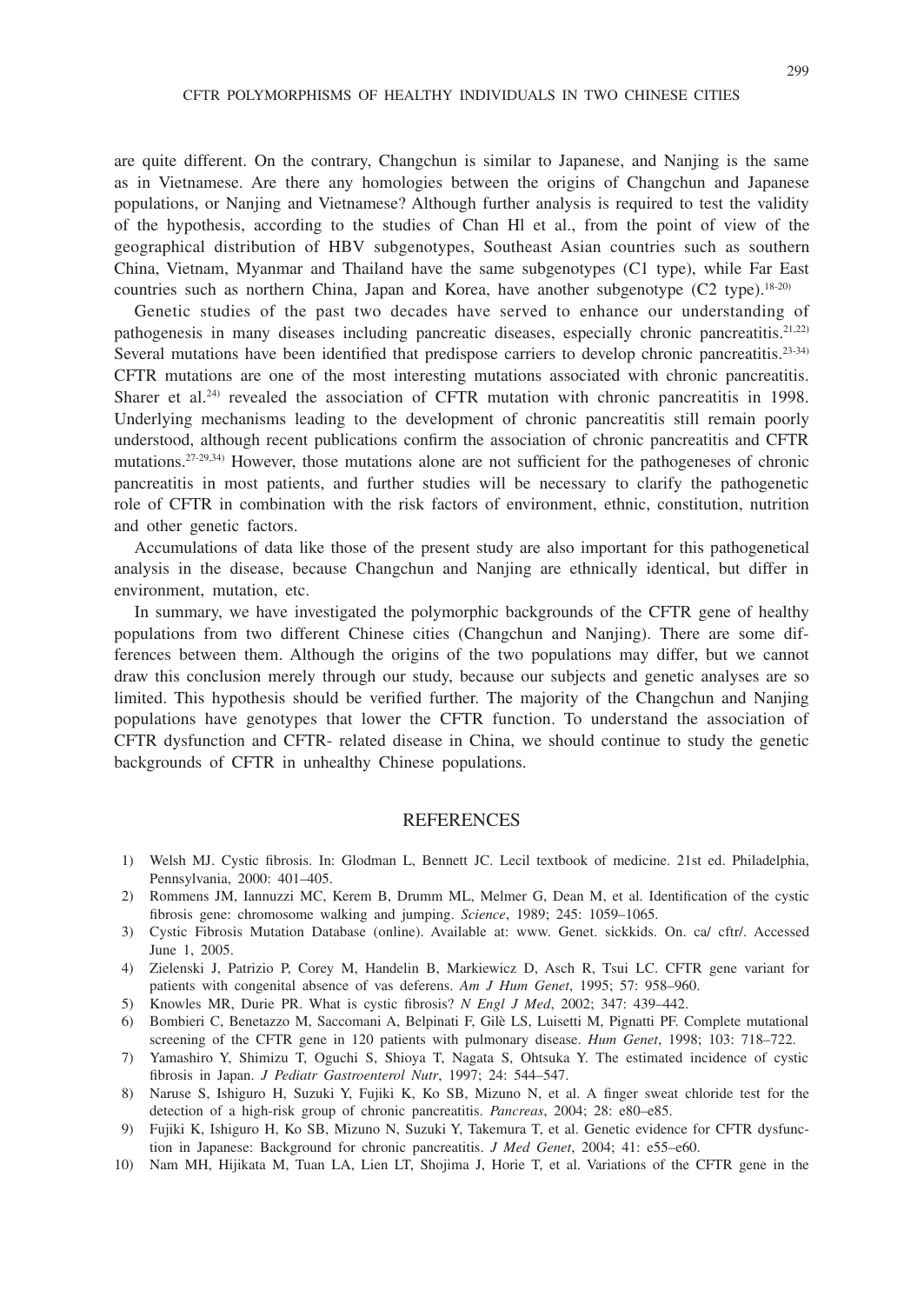are quite different. On the contrary, Changchun is similar to Japanese, and Nanjing is the same as in Vietnamese. Are there any homologies between the origins of Changchun and Japanese populations, or Nanjing and Vietnamese? Although further analysis is required to test the validity of the hypothesis, according to the studies of Chan Hl et al., from the point of view of the geographical distribution of HBV subgenotypes, Southeast Asian countries such as southern China, Vietnam, Myanmar and Thailand have the same subgenotypes (C1 type), while Far East countries such as northern China, Japan and Korea, have another subgenotype (C2 type).<sup>18-20)</sup>

Genetic studies of the past two decades have served to enhance our understanding of pathogenesis in many diseases including pancreatic diseases, especially chronic pancreatitis.<sup>21,22)</sup> Several mutations have been identified that predispose carriers to develop chronic pancreatitis.<sup>23-34)</sup> CFTR mutations are one of the most interesting mutations associated with chronic pancreatitis. Sharer et al.<sup>24)</sup> revealed the association of CFTR mutation with chronic pancreatitis in 1998. Underlying mechanisms leading to the development of chronic pancreatitis still remain poorly understood, although recent publications confirm the association of chronic pancreatitis and CFTR mutations.27-29,34) However, those mutations alone are not sufficient for the pathogeneses of chronic pancreatitis in most patients, and further studies will be necessary to clarify the pathogenetic role of CFTR in combination with the risk factors of environment, ethnic, constitution, nutrition and other genetic factors.

Accumulations of data like those of the present study are also important for this pathogenetical analysis in the disease, because Changchun and Nanjing are ethnically identical, but differ in environment, mutation, etc.

In summary, we have investigated the polymorphic backgrounds of the CFTR gene of healthy populations from two different Chinese cities (Changchun and Nanjing). There are some differences between them. Although the origins of the two populations may differ, but we cannot draw this conclusion merely through our study, because our subjects and genetic analyses are so limited. This hypothesis should be verified further. The majority of the Changchun and Nanjing populations have genotypes that lower the CFTR function. To understand the association of CFTR dysfunction and CFTR- related disease in China, we should continue to study the genetic backgrounds of CFTR in unhealthy Chinese populations.

## REFERENCES

- 1) Welsh MJ. Cystic fibrosis. In: Glodman L, Bennett JC. Lecil textbook of medicine. 21st ed. Philadelphia, Pennsylvania, 2000: 401–405.
- 2) Rommens JM, Iannuzzi MC, Kerem B, Drumm ML, Melmer G, Dean M, et al. Identification of the cystic fibrosis gene: chromosome walking and jumping. *Science*, 1989; 245: 1059–1065.
- 3) Cystic Fibrosis Mutation Database (online). Available at: www. Genet. sickkids. On. ca/ cftr/. Accessed June 1, 2005.
- 4) Zielenski J, Patrizio P, Corey M, Handelin B, Markiewicz D, Asch R, Tsui LC. CFTR gene variant for patients with congenital absence of vas deferens. *Am J Hum Genet*, 1995; 57: 958–960.
- 5) Knowles MR, Durie PR. What is cystic fibrosis? *N Engl J Med*, 2002; 347: 439–442.
- 6) Bombieri C, Benetazzo M, Saccomani A, Belpinati F, Gilè LS, Luisetti M, Pignatti PF. Complete mutational screening of the CFTR gene in 120 patients with pulmonary disease. *Hum Genet*, 1998; 103: 718–722.
- 7) Yamashiro Y, Shimizu T, Oguchi S, Shioya T, Nagata S, Ohtsuka Y. The estimated incidence of cystic fibrosis in Japan. *J Pediatr Gastroenterol Nutr*, 1997; 24: 544–547.
- 8) Naruse S, Ishiguro H, Suzuki Y, Fujiki K, Ko SB, Mizuno N, et al. A finger sweat chloride test for the detection of a high-risk group of chronic pancreatitis. *Pancreas*, 2004; 28: e80–e85.
- 9) Fujiki K, Ishiguro H, Ko SB, Mizuno N, Suzuki Y, Takemura T, et al. Genetic evidence for CFTR dysfunction in Japanese: Background for chronic pancreatitis. *J Med Genet*, 2004; 41: e55–e60.
- 10) Nam MH, Hijikata M, Tuan LA, Lien LT, Shojima J, Horie T, et al. Variations of the CFTR gene in the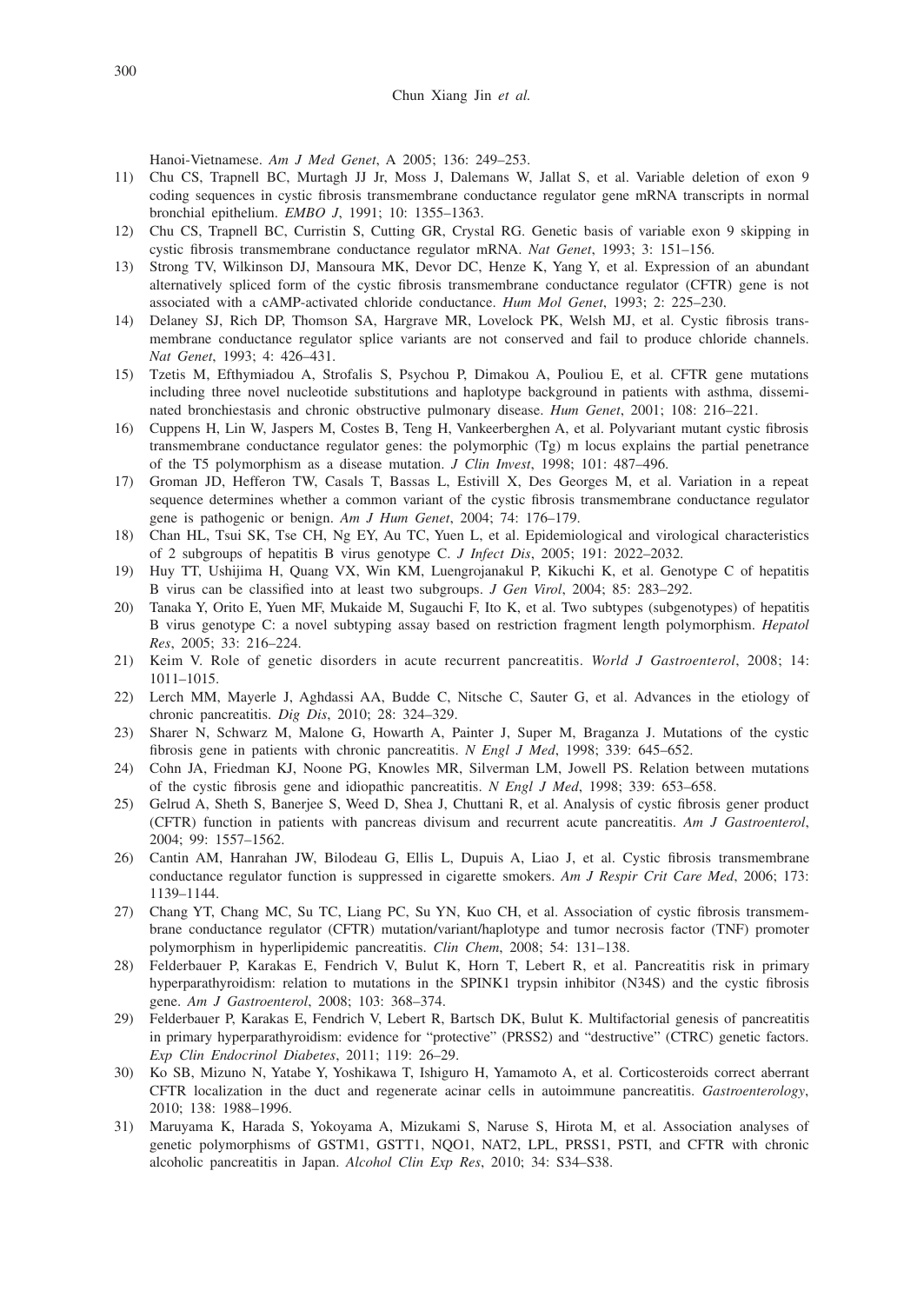Hanoi-Vietnamese. *Am J Med Genet*, A 2005; 136: 249–253.

- 11) Chu CS, Trapnell BC, Murtagh JJ Jr, Moss J, Dalemans W, Jallat S, et al. Variable deletion of exon 9 coding sequences in cystic fibrosis transmembrane conductance regulator gene mRNA transcripts in normal bronchial epithelium. *EMBO J*, 1991; 10: 1355–1363.
- 12) Chu CS, Trapnell BC, Curristin S, Cutting GR, Crystal RG. Genetic basis of variable exon 9 skipping in cystic fibrosis transmembrane conductance regulator mRNA. *Nat Genet*, 1993; 3: 151–156.
- 13) Strong TV, Wilkinson DJ, Mansoura MK, Devor DC, Henze K, Yang Y, et al. Expression of an abundant alternatively spliced form of the cystic fibrosis transmembrane conductance regulator (CFTR) gene is not associated with a cAMP-activated chloride conductance. *Hum Mol Genet*, 1993; 2: 225–230.
- 14) Delaney SJ, Rich DP, Thomson SA, Hargrave MR, Lovelock PK, Welsh MJ, et al. Cystic fibrosis transmembrane conductance regulator splice variants are not conserved and fail to produce chloride channels. *Nat Genet*, 1993; 4: 426–431.
- 15) Tzetis M, Efthymiadou A, Strofalis S, Psychou P, Dimakou A, Pouliou E, et al. CFTR gene mutations including three novel nucleotide substitutions and haplotype background in patients with asthma, disseminated bronchiestasis and chronic obstructive pulmonary disease. *Hum Genet*, 2001; 108: 216–221.
- 16) Cuppens H, Lin W, Jaspers M, Costes B, Teng H, Vankeerberghen A, et al. Polyvariant mutant cystic fibrosis transmembrane conductance regulator genes: the polymorphic (Tg) m locus explains the partial penetrance of the T5 polymorphism as a disease mutation. *J Clin Invest*, 1998; 101: 487–496.
- 17) Groman JD, Hefferon TW, Casals T, Bassas L, Estivill X, Des Georges M, et al. Variation in a repeat sequence determines whether a common variant of the cystic fibrosis transmembrane conductance regulator gene is pathogenic or benign. *Am J Hum Genet*, 2004; 74: 176–179.
- 18) Chan HL, Tsui SK, Tse CH, Ng EY, Au TC, Yuen L, et al. Epidemiological and virological characteristics of 2 subgroups of hepatitis B virus genotype C. *J Infect Dis*, 2005; 191: 2022–2032.
- 19) Huy TT, Ushijima H, Quang VX, Win KM, Luengrojanakul P, Kikuchi K, et al. Genotype C of hepatitis B virus can be classified into at least two subgroups. *J Gen Virol*, 2004; 85: 283–292.
- 20) Tanaka Y, Orito E, Yuen MF, Mukaide M, Sugauchi F, Ito K, et al. Two subtypes (subgenotypes) of hepatitis B virus genotype C: a novel subtyping assay based on restriction fragment length polymorphism. *Hepatol Res*, 2005; 33: 216–224.
- 21) Keim V. Role of genetic disorders in acute recurrent pancreatitis. *World J Gastroenterol*, 2008; 14: 1011–1015.
- 22) Lerch MM, Mayerle J, Aghdassi AA, Budde C, Nitsche C, Sauter G, et al. Advances in the etiology of chronic pancreatitis. *Dig Dis*, 2010; 28: 324–329.
- 23) Sharer N, Schwarz M, Malone G, Howarth A, Painter J, Super M, Braganza J. Mutations of the cystic fibrosis gene in patients with chronic pancreatitis. *N Engl J Med*, 1998; 339: 645–652.
- 24) Cohn JA, Friedman KJ, Noone PG, Knowles MR, Silverman LM, Jowell PS. Relation between mutations of the cystic fibrosis gene and idiopathic pancreatitis. *N Engl J Med*, 1998; 339: 653–658.
- 25) Gelrud A, Sheth S, Banerjee S, Weed D, Shea J, Chuttani R, et al. Analysis of cystic fibrosis gener product (CFTR) function in patients with pancreas divisum and recurrent acute pancreatitis. *Am J Gastroenterol*, 2004; 99: 1557–1562.
- 26) Cantin AM, Hanrahan JW, Bilodeau G, Ellis L, Dupuis A, Liao J, et al. Cystic fibrosis transmembrane conductance regulator function is suppressed in cigarette smokers. *Am J Respir Crit Care Med*, 2006; 173: 1139–1144.
- 27) Chang YT, Chang MC, Su TC, Liang PC, Su YN, Kuo CH, et al. Association of cystic fibrosis transmembrane conductance regulator (CFTR) mutation/variant/haplotype and tumor necrosis factor (TNF) promoter polymorphism in hyperlipidemic pancreatitis. *Clin Chem*, 2008; 54: 131–138.
- 28) Felderbauer P, Karakas E, Fendrich V, Bulut K, Horn T, Lebert R, et al. Pancreatitis risk in primary hyperparathyroidism: relation to mutations in the SPINK1 trypsin inhibitor (N34S) and the cystic fibrosis gene. *Am J Gastroenterol*, 2008; 103: 368–374.
- 29) Felderbauer P, Karakas E, Fendrich V, Lebert R, Bartsch DK, Bulut K. Multifactorial genesis of pancreatitis in primary hyperparathyroidism: evidence for "protective" (PRSS2) and "destructive" (CTRC) genetic factors. *Exp Clin Endocrinol Diabetes*, 2011; 119: 26–29.
- 30) Ko SB, Mizuno N, Yatabe Y, Yoshikawa T, Ishiguro H, Yamamoto A, et al. Corticosteroids correct aberrant CFTR localization in the duct and regenerate acinar cells in autoimmune pancreatitis. *Gastroenterology*, 2010; 138: 1988–1996.
- 31) Maruyama K, Harada S, Yokoyama A, Mizukami S, Naruse S, Hirota M, et al. Association analyses of genetic polymorphisms of GSTM1, GSTT1, NQO1, NAT2, LPL, PRSS1, PSTI, and CFTR with chronic alcoholic pancreatitis in Japan. *Alcohol Clin Exp Res*, 2010; 34: S34–S38.